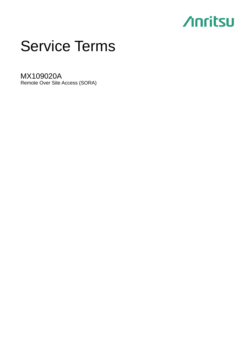## **Anritsu**

# Service Terms

MX109020A Remote Over Site Access (SORA)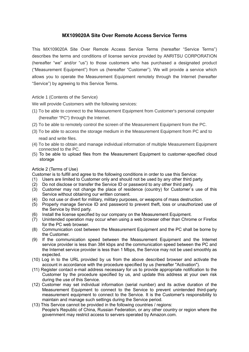## **MX109020A Site Over Remote Access Service Terms**

This MX109020A Site Over Remote Access Service Terms (hereafter "Service Terms") describes the terms and conditions of license service provided by ANRITSU CORPORATION (hereafter "we" and/or "us") to those customers who has purchased a designated product ("Measurement Equipment") from us (hereafter "Customer"). We will provide a service which allows you to operate the Measurement Equipment remotely through the Internet (hereafter "Service") by agreeing to this Service Terms.

## Article 1 (Contents of the Service)

We will provide Customers with the following services:

- (1) To be able to connect to the Measurement Equipment from Customer's personal computer (hereafter "PC") through the Internet.
- (2) To be able to remotely control the screen of the Measurement Equipment from the PC.
- (3) To be able to access the storage medium in the Measurement Equipment from PC and to read and write files.
- (4) To be able to obtain and manage individual information of multiple Measurement Equipment connected to the PC.
- (5) To be able to upload files from the Measurement Equipment to customer-specified cloud storage

## Article 2 (Terms of Use)

Customer is to fulfill and agree to the following conditions in order to use this Service:

- (1) Users are limited to Customer only and should not be used by any other third party.
- (2) Do not disclose or transfer the Service ID or password to any other third party.
- (3) Customer may not change the place of residence (country) for Customer`s use of this Service without obtaining our written consent.
- (4) Do not use or divert for military, military purposes, or weapons of mass destruction.
- (5) Properly manage Service ID and password to prevent theft, loss or unauthorized use of the Service by third party.
- (6) Install the license specified by our company on the Measurement Equipment.
- (7) Unintended operation may occur when using a web browser other than Chrome or Firefox for the PC web browser.
- (8) Communication cost between the Measurement Equipment and the PC shall be borne by the Customer.
- (9) If the communication speed between the Measurement Equipment and the Internet service provider is less than 384 kbps and the communication speed between the PC and the Internet service provider is less than 1 Mbps, the Service may not be used smoothly as expected.
- (10) Log in to the URL provided by us from the above described browser and activate the account in accordance with the procedure specified by us (hereafter "Activation").
- (11) Register contact e-mail address necessary for us to provide appropriate notification to the Customer by the procedure specified by us, and update this address at your own risk during the use of this Service.
- (12) Customer may set individual information (serial number) and its active duration of the Measurement Equipment to connect to the Service to prevent unintended third-party measurement equipment to connect to the Service. It is the Customer's responsibility to maintain and manage such settings during the Service period.
- (13) This Service cannot be provided in the following countries / regions: People's Republic of China, Russian Federation, or any other country or region where the government may restrict access to servers operated by Amazon.com.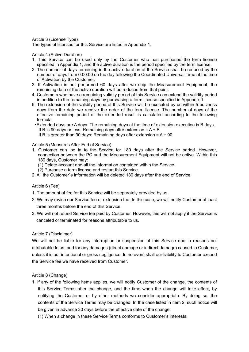Article 3 (License Type)

The types of licenses for this Service are listed in Appendix 1.

Article 4 (Active Duration)

- 1. This Service can be used only by the Customer who has purchased the term license specified in Appendix 1, and the active duration is the period specified by the term license.
- 2. The number of days remaining in the active duration of the Service shall be reduced by the number of days from 0:00:00 on the day following the Coordinated Universal Time at the time of Activation by the Customer.
- 3. If Activation is not performed 60 days after we ship the Measurement Equipment, the remaining date of the active duration will be reduced from that point.
- 4. Customers who have a remaining validity period of this Service can extend the validity period in addition to the remaining days by purchasing a term license specified in Appendix 1.
- 5. The extension of the validity period of this Service will be executed by us within 5 business days from the date we receive the order of the term license. The number of days of the effective remaining period of the extended result is calculated according to the following formula.
- ・Extended days are A days. The remaining days at the time of extension execution is B days. If B is 90 days or less: Remaining days after extension  $= A + B$ 
	- If B is greater than 90 days: Remaining days after extension  $= A + 90$

Article 5 (Measures After End of Service)

- 1. Customer can log in to the Service for 180 days after the Service period. However, connection between the PC and the Measurement Equipment will not be active. Within this 180 days, Customer may:
	- (1) Delete account and all the information contained within the Service.
	- (2) Purchase a term license and restart this Service.
- 2. All the Customer`s information will be deleted 180 days after the end of Service.

#### Article 6 (Fee)

- 1. The amount of fee for this Service will be separately provided by us.
- 2. We may revise our Service fee or extension fee. In this case, we will notify Customer at least three months before the end of this Service.
- 3. We will not refund Service fee paid by Customer. However, this will not apply if the Service is canceled or terminated for reasons attributable to us.

#### Article 7 (Disclaimer)

We will not be liable for any interruption or suspension of this Service due to reasons not attributable to us, and for any damages (direct damage or indirect damage) caused to Customer, unless it is our intentional or gross negligence. In no event shall our liability to Customer exceed the Service fee we have received from Customer.

#### Article 8 (Change)

- 1. If any of the following items applies, we will notify Customer of the change, the contents of this Service Terms after the change, and the time when the change will take effect, by notifying the Customer or by other methods we consider appropriate. By doing so, the contents of the Service Terms may be changed. In the case listed in item 2, such notice will be given in advance 30 days before the effective date of the change.
	- (1) When a change in these Service Terms conforms to Customer's interests.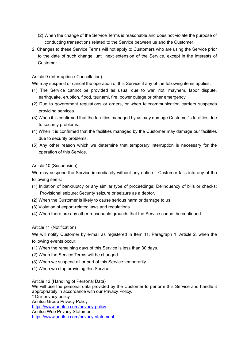- (2) When the change of the Service Terms is reasonable and does not violate the purpose of conducting transactions related to the Service between us and the Customer
- 2. Changes to these Service Terms will not apply to Customers who are using the Service prior to the date of such change, until next extension of the Service, except in the interests of Customer.

#### Article 9 (Interruption / Cancellation)

We may suspend or cancel the operation of this Service if any of the following items applies:

- (1) The Service cannot be provided as usual due to war, riot, mayhem, labor dispute, earthquake, eruption, flood, tsunami, fire, power outage or other emergency.
- (2) Due to government regulations or orders, or when telecommunication carriers suspends providing services.
- (3) When it is confirmed that the facilities managed by us may damage Customer`s facilities due to security problems.
- (4) When it is confirmed that the facilities managed by the Customer may damage our facilities due to security problems.
- (5) Any other reason which we determine that temporary interruption is necessary for the operation of this Service.

#### Article 10 (Suspension)

We may suspend the Service immediately without any notice if Customer falls into any of the following items:

- (1) Initiation of bankruptcy or any similar type of proceedings; Delinquency of bills or checks; Provisional seizure; Security seizure or seizure as a debtor.
- (2) When the Customer is likely to cause serious harm or damage to us.
- (3) Violation of export-related laws and regulations.
- (4) When there are any other reasonable grounds that the Service cannot be continued.

#### Article 11 (Notification)

We will notify Customer by e-mail as registered in Item 11, Paragraph 1, Article 2, when the following events occur:

- (1) When the remaining days of this Service is less than 30 days.
- (2) When the Service Terms will be changed.
- (3) When we suspend all or part of this Service temporarily.
- (4) When we stop providing this Service.

Article 12 (Handling of Personal Data)

We will use the personal data provided by the Customer to perform this Service and handle it appropriately in accordance with our Privacy Policy.

\* Our privacy policy Anritsu Group Privacy Policy <https://www.anritsu.com/privacy-policy> Anritsu Web Privacy Statement <https://www.anritsu.com/privacy-statement>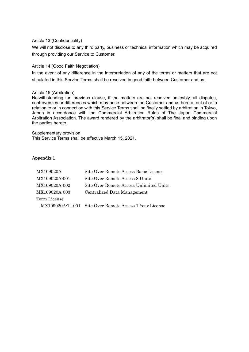#### Article 13 (Confidentiality)

We will not disclose to any third party, business or technical information which may be acquired through providing our Service to Customer.

#### Article 14 (Good Faith Negotiation)

In the event of any difference in the interpretation of any of the terms or matters that are not stipulated in this Service Terms shall be resolved in good faith between Customer and us.

#### Article 15 (Arbitration)

Notwithstanding the previous clause, if the matters are not resolved amicably, all disputes, controversies or differences which may arise between the Customer and us hereto, out of or in relation to or in connection with this Service Terms shall be finally settled by arbitration in Tokyo, Japan in accordance with the Commercial Arbitration Rules of The Japan Commercial Arbitration Association. The award rendered by the arbitrator(s) shall be final and binding upon the parties hereto.

Supplementary provision This Service Terms shall be effective March 15, 2021.

## Appendix 1

| MX109020A     | Site Over Remote Access Basic License                  |
|---------------|--------------------------------------------------------|
| MX109020A-001 | Site Over Remote Access 8 Units                        |
| MX109020A-002 | Site Over Remote Access Unlimited Units                |
| MX109020A-003 | Centralized Data Management                            |
| Term License  |                                                        |
|               | MX109020A-TL001 Site Over Remote Access 1 Year License |